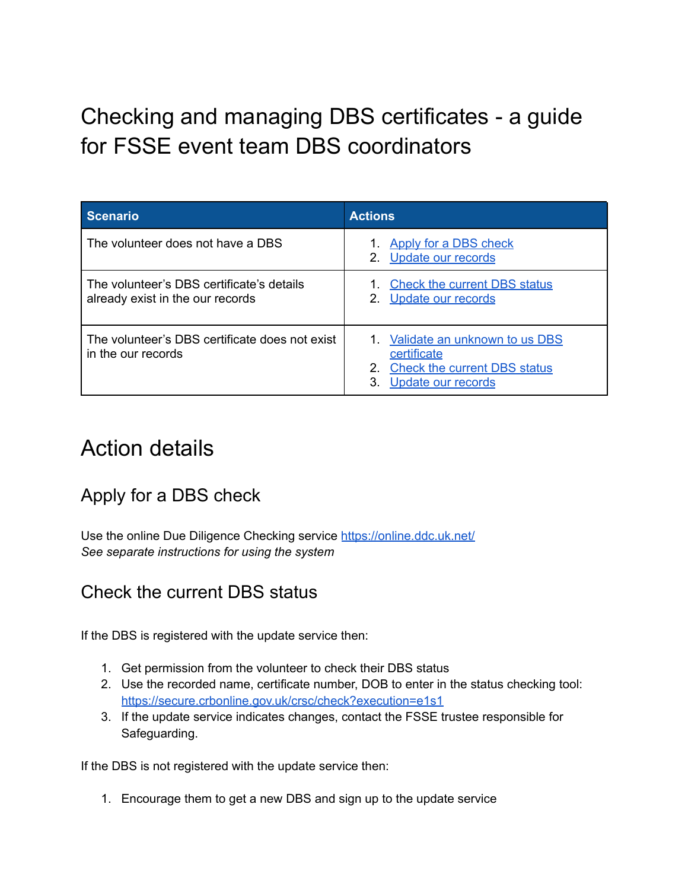Checking and managing DBS certificates - a guide for FSSE event team DBS coordinators

| <b>Scenario</b>                                                               | <b>Actions</b>                                                                                                 |  |  |  |
|-------------------------------------------------------------------------------|----------------------------------------------------------------------------------------------------------------|--|--|--|
| The volunteer does not have a DBS                                             | 1. Apply for a DBS check<br>2. Update our records                                                              |  |  |  |
| The volunteer's DBS certificate's details<br>already exist in the our records | 1. Check the current DBS status<br>2. Update our records                                                       |  |  |  |
| The volunteer's DBS certificate does not exist<br>in the our records          | 1. Validate an unknown to us DBS<br>certificate<br>2. Check the current DBS status<br>Update our records<br>3. |  |  |  |

# Action details

## <span id="page-0-0"></span>Apply for a DBS check

Use the online Due Diligence Checking service <https://online.ddc.uk.net/> *See separate instructions for using the system*

### <span id="page-0-1"></span>Check the current DBS status

If the DBS is registered with the update service then:

- 1. Get permission from the volunteer to check their DBS status
- 2. Use the recorded name, certificate number, DOB to enter in the status checking tool: <https://secure.crbonline.gov.uk/crsc/check?execution=e1s1>
- 3. If the update service indicates changes, contact the FSSE trustee responsible for Safeguarding.

If the DBS is not registered with the update service then:

1. Encourage them to get a new DBS and sign up to the update service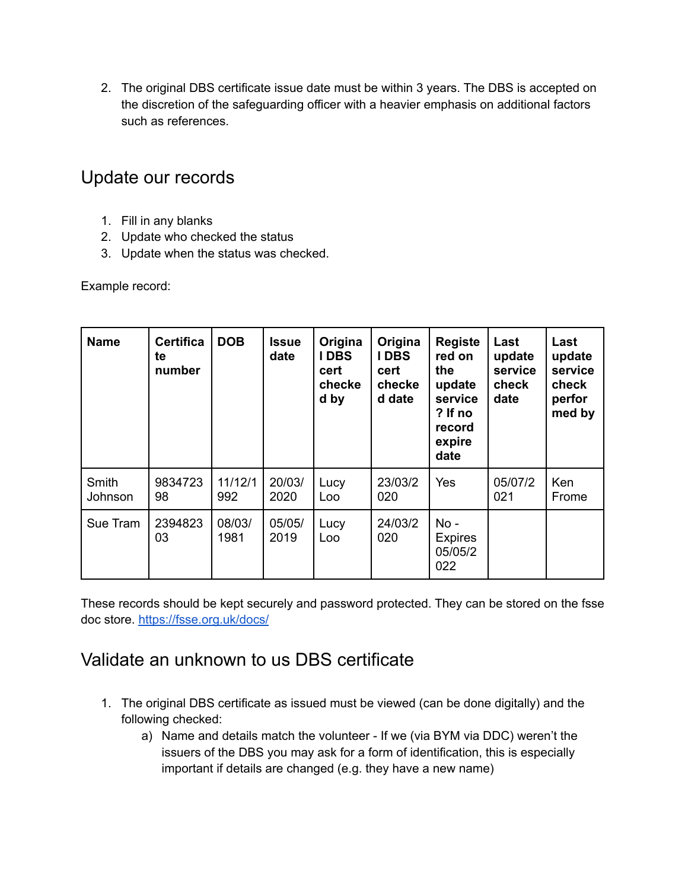2. The original DBS certificate issue date must be within 3 years. The DBS is accepted on the discretion of the safeguarding officer with a heavier emphasis on additional factors such as references.

#### <span id="page-1-0"></span>Update our records

- 1. Fill in any blanks
- 2. Update who checked the status
- 3. Update when the status was checked.

Example record:

| <b>Name</b>      | <b>Certifica</b><br>te<br>number | <b>DOB</b>     | <b>Issue</b><br>date | Origina<br><b>IDBS</b><br>cert<br>checke<br>d by | Origina<br><b>IDBS</b><br>cert<br>checke<br>d date | <b>Registe</b><br>red on<br>the<br>update<br>service<br>? If no<br>record<br>expire<br>date | Last<br>update<br>service<br>check<br>date | Last<br>update<br>service<br>check<br>perfor<br>med by |
|------------------|----------------------------------|----------------|----------------------|--------------------------------------------------|----------------------------------------------------|---------------------------------------------------------------------------------------------|--------------------------------------------|--------------------------------------------------------|
| Smith<br>Johnson | 9834723<br>98                    | 11/12/1<br>992 | 20/03/<br>2020       | Lucy<br>Loo                                      | 23/03/2<br>020                                     | Yes                                                                                         | 05/07/2<br>021                             | Ken<br>Frome                                           |
| Sue Tram         | 2394823<br>03                    | 08/03/<br>1981 | 05/05/<br>2019       | Lucy<br>Loo                                      | 24/03/2<br>020                                     | $No -$<br><b>Expires</b><br>05/05/2<br>022                                                  |                                            |                                                        |

These records should be kept securely and password protected. They can be stored on the fsse doc store. <https://fsse.org.uk/docs/>

### <span id="page-1-1"></span>Validate an unknown to us DBS certificate

- 1. The original DBS certificate as issued must be viewed (can be done digitally) and the following checked:
	- a) Name and details match the volunteer If we (via BYM via DDC) weren't the issuers of the DBS you may ask for a form of identification, this is especially important if details are changed (e.g. they have a new name)